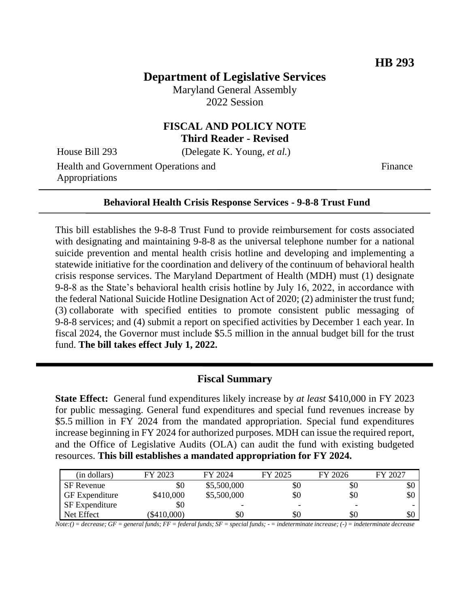# **Department of Legislative Services**

Maryland General Assembly 2022 Session

### **FISCAL AND POLICY NOTE Third Reader - Revised**

House Bill 293 (Delegate K. Young, *et al.*)

Health and Government Operations and Appropriations

Finance

#### **Behavioral Health Crisis Response Services - 9-8-8 Trust Fund**

This bill establishes the 9-8-8 Trust Fund to provide reimbursement for costs associated with designating and maintaining 9-8-8 as the universal telephone number for a national suicide prevention and mental health crisis hotline and developing and implementing a statewide initiative for the coordination and delivery of the continuum of behavioral health crisis response services. The Maryland Department of Health (MDH) must (1) designate 9-8-8 as the State's behavioral health crisis hotline by July 16, 2022, in accordance with the federal National Suicide Hotline Designation Act of 2020; (2) administer the trust fund; (3) collaborate with specified entities to promote consistent public messaging of 9-8-8 services; and (4) submit a report on specified activities by December 1 each year. In fiscal 2024, the Governor must include \$5.5 million in the annual budget bill for the trust fund. **The bill takes effect July 1, 2022.**

#### **Fiscal Summary**

**State Effect:** General fund expenditures likely increase by *at least* \$410,000 in FY 2023 for public messaging. General fund expenditures and special fund revenues increase by \$5.5 million in FY 2024 from the mandated appropriation. Special fund expenditures increase beginning in FY 2024 for authorized purposes. MDH can issue the required report, and the Office of Legislative Audits (OLA) can audit the fund with existing budgeted resources. **This bill establishes a mandated appropriation for FY 2024.**

| (in dollars)          | FY 2023       | FY 2024                  | FY 2025                  | FY 2026 | FY 2027 |
|-----------------------|---------------|--------------------------|--------------------------|---------|---------|
| SF Revenue            | \$0           | \$5,500,000              | \$0                      | \$0     | \$0     |
| <b>GF</b> Expenditure | \$410,000     | \$5,500,000              | \$0                      | \$0     | \$0     |
| <b>SF</b> Expenditure | \$0           | $\overline{\phantom{0}}$ | $\overline{\phantom{0}}$ | -       |         |
| Net Effect            | $(\$410,000)$ | \$0                      | \$0                      | \$0     | \$0     |

*Note:() = decrease; GF = general funds; FF = federal funds; SF = special funds; - = indeterminate increase; (-) = indeterminate decrease*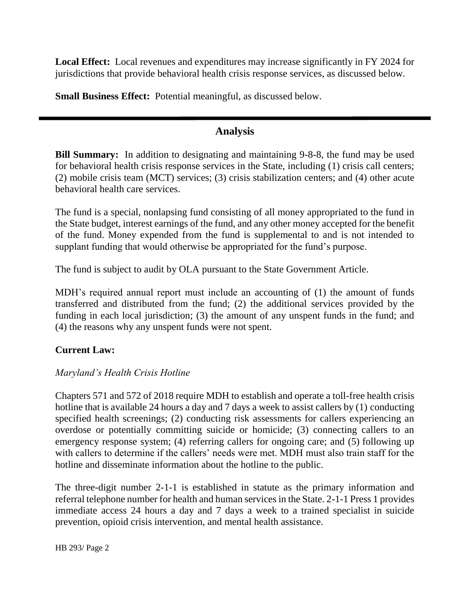**Local Effect:** Local revenues and expenditures may increase significantly in FY 2024 for jurisdictions that provide behavioral health crisis response services, as discussed below.

**Small Business Effect:** Potential meaningful, as discussed below.

### **Analysis**

**Bill Summary:** In addition to designating and maintaining 9-8-8, the fund may be used for behavioral health crisis response services in the State, including (1) crisis call centers; (2) mobile crisis team (MCT) services; (3) crisis stabilization centers; and (4) other acute behavioral health care services.

The fund is a special, nonlapsing fund consisting of all money appropriated to the fund in the State budget, interest earnings of the fund, and any other money accepted for the benefit of the fund. Money expended from the fund is supplemental to and is not intended to supplant funding that would otherwise be appropriated for the fund's purpose.

The fund is subject to audit by OLA pursuant to the State Government Article.

MDH's required annual report must include an accounting of (1) the amount of funds transferred and distributed from the fund; (2) the additional services provided by the funding in each local jurisdiction; (3) the amount of any unspent funds in the fund; and (4) the reasons why any unspent funds were not spent.

## **Current Law:**

## *Maryland's Health Crisis Hotline*

Chapters 571 and 572 of 2018 require MDH to establish and operate a toll-free health crisis hotline that is available 24 hours a day and 7 days a week to assist callers by (1) conducting specified health screenings; (2) conducting risk assessments for callers experiencing an overdose or potentially committing suicide or homicide; (3) connecting callers to an emergency response system; (4) referring callers for ongoing care; and (5) following up with callers to determine if the callers' needs were met. MDH must also train staff for the hotline and disseminate information about the hotline to the public.

The three-digit number 2-1-1 is established in statute as the primary information and referral telephone number for health and human services in the State. 2-1-1 Press 1 provides immediate access 24 hours a day and 7 days a week to a trained specialist in suicide prevention, opioid crisis intervention, and mental health assistance.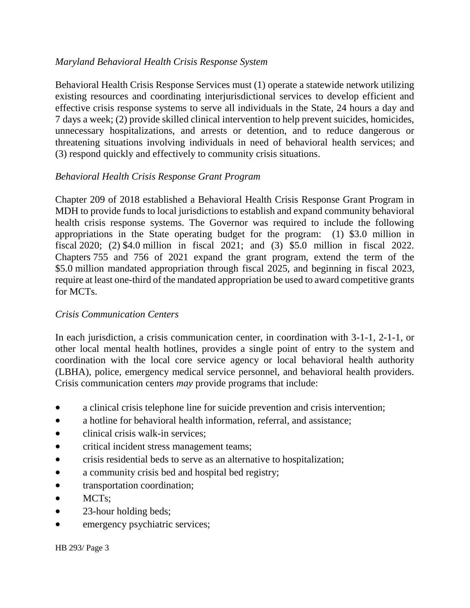#### *Maryland Behavioral Health Crisis Response System*

Behavioral Health Crisis Response Services must (1) operate a statewide network utilizing existing resources and coordinating interjurisdictional services to develop efficient and effective crisis response systems to serve all individuals in the State, 24 hours a day and 7 days a week; (2) provide skilled clinical intervention to help prevent suicides, homicides, unnecessary hospitalizations, and arrests or detention, and to reduce dangerous or threatening situations involving individuals in need of behavioral health services; and (3) respond quickly and effectively to community crisis situations.

### *Behavioral Health Crisis Response Grant Program*

Chapter 209 of 2018 established a Behavioral Health Crisis Response Grant Program in MDH to provide funds to local jurisdictions to establish and expand community behavioral health crisis response systems. The Governor was required to include the following appropriations in the State operating budget for the program: (1) \$3.0 million in fiscal 2020; (2) \$4.0 million in fiscal 2021; and (3) \$5.0 million in fiscal 2022. Chapters 755 and 756 of 2021 expand the grant program, extend the term of the \$5.0 million mandated appropriation through fiscal 2025, and beginning in fiscal 2023, require at least one-third of the mandated appropriation be used to award competitive grants for MCTs.

#### *Crisis Communication Centers*

In each jurisdiction, a crisis communication center, in coordination with 3-1-1, 2-1-1, or other local mental health hotlines, provides a single point of entry to the system and coordination with the local core service agency or local behavioral health authority (LBHA), police, emergency medical service personnel, and behavioral health providers. Crisis communication centers *may* provide programs that include:

- a clinical crisis telephone line for suicide prevention and crisis intervention;
- a hotline for behavioral health information, referral, and assistance:
- clinical crisis walk-in services:
- critical incident stress management teams;
- crisis residential beds to serve as an alternative to hospitalization;
- a community crisis bed and hospital bed registry;
- transportation coordination;
- MCTs;
- 23-hour holding beds;
- emergency psychiatric services;

HB 293/ Page 3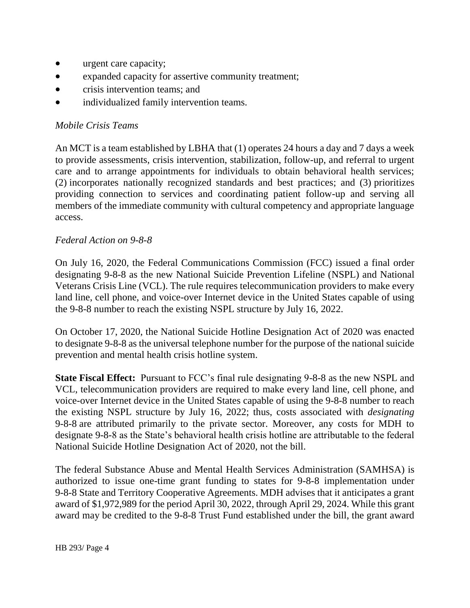- urgent care capacity;
- expanded capacity for assertive community treatment;
- crisis intervention teams; and
- individualized family intervention teams.

### *Mobile Crisis Teams*

An MCT is a team established by LBHA that (1) operates 24 hours a day and 7 days a week to provide assessments, crisis intervention, stabilization, follow-up, and referral to urgent care and to arrange appointments for individuals to obtain behavioral health services; (2) incorporates nationally recognized standards and best practices; and (3) prioritizes providing connection to services and coordinating patient follow-up and serving all members of the immediate community with cultural competency and appropriate language access.

#### *Federal Action on 9-8-8*

On July 16, 2020, the Federal Communications Commission (FCC) issued a final order designating 9-8-8 as the new National Suicide Prevention Lifeline (NSPL) and National Veterans Crisis Line (VCL). The rule requires telecommunication providers to make every land line, cell phone, and voice-over Internet device in the United States capable of using the 9-8-8 number to reach the existing NSPL structure by July 16, 2022.

On October 17, 2020, the National Suicide Hotline Designation Act of 2020 was enacted to designate 9-8-8 as the universal telephone number for the purpose of the national suicide prevention and mental health crisis hotline system.

**State Fiscal Effect:** Pursuant to FCC's final rule designating 9-8-8 as the new NSPL and VCL, telecommunication providers are required to make every land line, cell phone, and voice-over Internet device in the United States capable of using the 9-8-8 number to reach the existing NSPL structure by July 16, 2022; thus, costs associated with *designating* 9-8-8 are attributed primarily to the private sector. Moreover, any costs for MDH to designate 9-8-8 as the State's behavioral health crisis hotline are attributable to the federal National Suicide Hotline Designation Act of 2020, not the bill.

The federal Substance Abuse and Mental Health Services Administration (SAMHSA) is authorized to issue one-time grant funding to states for 9-8-8 implementation under 9-8-8 State and Territory Cooperative Agreements. MDH advises that it anticipates a grant award of \$1,972,989 for the period April 30, 2022, through April 29, 2024. While this grant award may be credited to the 9-8-8 Trust Fund established under the bill, the grant award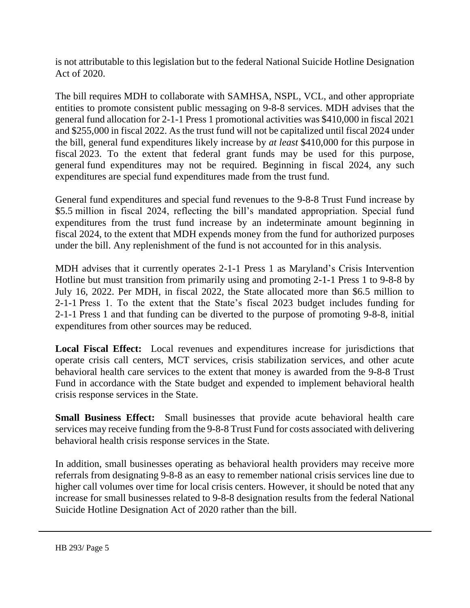is not attributable to this legislation but to the federal National Suicide Hotline Designation Act of 2020.

The bill requires MDH to collaborate with SAMHSA, NSPL, VCL, and other appropriate entities to promote consistent public messaging on 9-8-8 services. MDH advises that the general fund allocation for 2-1-1 Press 1 promotional activities was \$410,000 in fiscal 2021 and \$255,000 in fiscal 2022. As the trust fund will not be capitalized until fiscal 2024 under the bill, general fund expenditures likely increase by *at least* \$410,000 for this purpose in fiscal 2023. To the extent that federal grant funds may be used for this purpose, general fund expenditures may not be required. Beginning in fiscal 2024, any such expenditures are special fund expenditures made from the trust fund.

General fund expenditures and special fund revenues to the 9-8-8 Trust Fund increase by \$5.5 million in fiscal 2024, reflecting the bill's mandated appropriation. Special fund expenditures from the trust fund increase by an indeterminate amount beginning in fiscal 2024, to the extent that MDH expends money from the fund for authorized purposes under the bill. Any replenishment of the fund is not accounted for in this analysis.

MDH advises that it currently operates 2-1-1 Press 1 as Maryland's Crisis Intervention Hotline but must transition from primarily using and promoting 2-1-1 Press 1 to 9-8-8 by July 16, 2022. Per MDH, in fiscal 2022, the State allocated more than \$6.5 million to 2-1-1 Press 1. To the extent that the State's fiscal 2023 budget includes funding for 2-1-1 Press 1 and that funding can be diverted to the purpose of promoting 9-8-8, initial expenditures from other sources may be reduced.

**Local Fiscal Effect:** Local revenues and expenditures increase for jurisdictions that operate crisis call centers, MCT services, crisis stabilization services, and other acute behavioral health care services to the extent that money is awarded from the 9-8-8 Trust Fund in accordance with the State budget and expended to implement behavioral health crisis response services in the State.

**Small Business Effect:** Small businesses that provide acute behavioral health care services may receive funding from the 9-8-8 Trust Fund for costs associated with delivering behavioral health crisis response services in the State.

In addition, small businesses operating as behavioral health providers may receive more referrals from designating 9-8-8 as an easy to remember national crisis services line due to higher call volumes over time for local crisis centers. However, it should be noted that any increase for small businesses related to 9-8-8 designation results from the federal National Suicide Hotline Designation Act of 2020 rather than the bill.